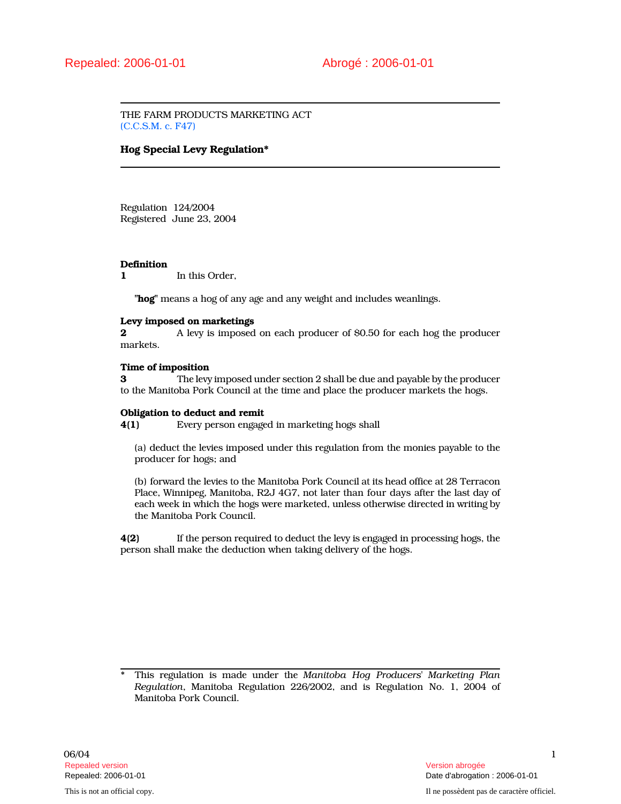THE FARM PRODUCTS MARKETING ACT (C.C.S.M. c. F47)

# Hog Special Levy Regulation\*

Regulation 124/2004 Registered June 23, 2004

### **Definition**

1 In this Order.

"hog" means a hog of any age and any weight and includes weanlings.

### Levy imposed on marketings

2 **A** levy is imposed on each producer of \$0.50 for each hog the producer markets.

# Time of imposition

3 The levy imposed under section 2 shall be due and payable by the producer to the Manitoba Pork Council at the time and place the producer markets the hogs.

### Obligation to deduct and remit

4(1) Every person engaged in marketing hogs shall

(a) deduct the levies imposed under this regulation from the monies payable to the producer for hogs; and

(b) forward the levies to the Manitoba Pork Council at its head office at 28 Terracon Place, Winnipeg, Manitoba, R2J 4G7, not later than four days after the last day of each week in which the hogs were marketed, unless otherwise directed in writing by the Manitoba Pork Council.

4(2) If the person required to deduct the levy is engaged in processing hogs, the person shall make the deduction when taking delivery of the hogs.

This regulation is made under the Manitoba Hog Producers' Marketing Plan Regulation, Manitoba Regulation 226/2002, and is Regulation No. 1, 2004 of Manitoba Pork Council.